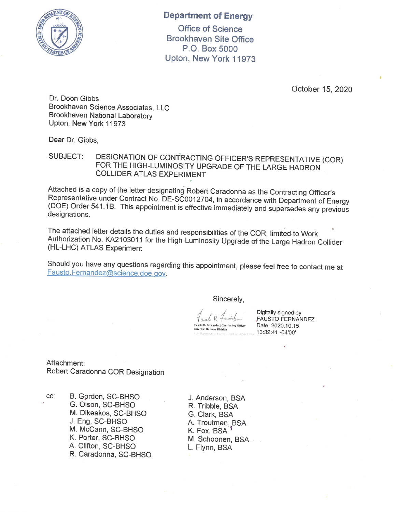

## **Department of Energy**

**Office of Science Brookhaven Site Office** P.O. Box 5000 Upton, New York 11973

October 15, 2020

Dr. Doon Gibbs Brookhaven Science Associates, LLC Brookhaven National Laboratory Upton, New York 11973

Dear Dr. Gibbs,

DESIGNATION OF CONTRACTING OFFICER'S REPRESENTATIVE (COR) **SUBJECT:** FOR THE HIGH-LUMINOSITY UPGRADE OF THE LARGE HADRON **COLLIDER ATLAS EXPERIMENT** 

Attached is a copy of the letter designating Robert Caradonna as the Contracting Officer's Representative under Contract No. DE-SC0012704, in accordance with Department of Energy (DOE) Order 541.1B. This appointment is effective immediately and supersedes any previous designations.

The attached letter details the duties and responsibilities of the COR, limited to Work Authorization No. KA2103011 for the High-Luminosity Upgrade of the Large Hadron Collider (HL-LHC) ATLAS Experiment

Should you have any questions regarding this appointment, please feel free to contact me at Fausto.Fernandez@science.doe.gov.

Sincerely,

 $\n *L*\n$ Fausto R. Fernandez | Contracting Officer **Mirector, Business Division** 

Digitally signed by **FAUSTO FERNANDEZ** Date: 2020.10.15 13:32:41 -04'00'

Attachment: Robert Caradonna COR Designation

CC:

B. Gordon, SC-BHSO G. Olson, SC-BHSO M. Dikeakos, SC-BHSO J. Eng, SC-BHSO M. McCann, SC-BHSO K. Porter, SC-BHSO A. Clifton, SC-BHSO R. Caradonna, SC-BHSO

J. Anderson, BSA R. Tribble, BSA G. Clark, BSA A. Troutman, BSA K. Fox, BSA M. Schoonen, BSA . L. Flynn, BSA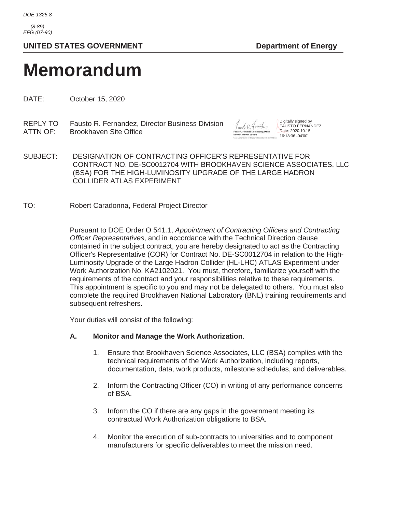*(8-89) EFG (07-90)*

# UNITED STATES GOVERNMENT **Department of Energy**

# **Memorandum**

DATE: October 15, 2020

REPLY TO Fausto R. Fernandez, Director Business Division ATTN OF: Brookhaven Site Office



Digitally signed by FAUSTO FERNANDEZ Date: 2020.10.15 16:18:36 -04'00'

- SUBJECT: DESIGNATION OF CONTRACTING OFFICER'S REPRESENTATIVE FOR CONTRACT NO. DE-SC0012704 WITH BROOKHAVEN SCIENCE ASSOCIATES, LLC (BSA) FOR THE HIGH-LUMINOSITY UPGRADE OF THE LARGE HADRON COLLIDER ATLAS EXPERIMENT
- TO: Robert Caradonna, Federal Project Director

Pursuant to DOE Order O 541.1, *Appointment of Contracting Officers and Contracting Officer Representatives*, and in accordance with the Technical Direction clause contained in the subject contract, you are hereby designated to act as the Contracting Officer's Representative (COR) for Contract No. DE-SC0012704 in relation to the High-Luminosity Upgrade of the Large Hadron Collider (HL-LHC) ATLAS Experiment under Work Authorization No. KA2102021. You must, therefore, familiarize yourself with the requirements of the contract and your responsibilities relative to these requirements. This appointment is specific to you and may not be delegated to others. You must also complete the required Brookhaven National Laboratory (BNL) training requirements and subsequent refreshers.

Your duties will consist of the following:

#### **A. Monitor and Manage the Work Authorization**.

- 1. Ensure that Brookhaven Science Associates, LLC (BSA) complies with the technical requirements of the Work Authorization, including reports, documentation, data, work products, milestone schedules, and deliverables.
- 2. Inform the Contracting Officer (CO) in writing of any performance concerns of BSA.
- 3. Inform the CO if there are any gaps in the government meeting its contractual Work Authorization obligations to BSA.
- 4. Monitor the execution of sub-contracts to universities and to component manufacturers for specific deliverables to meet the mission need.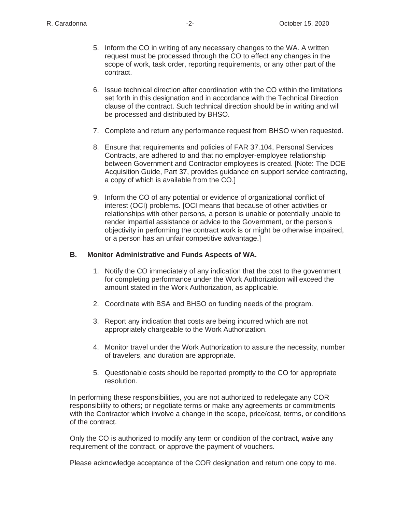- 5. Inform the CO in writing of any necessary changes to the WA. A written request must be processed through the CO to effect any changes in the scope of work, task order, reporting requirements, or any other part of the contract.
- 6. Issue technical direction after coordination with the CO within the limitations set forth in this designation and in accordance with the Technical Direction clause of the contract. Such technical direction should be in writing and will be processed and distributed by BHSO.
- 7. Complete and return any performance request from BHSO when requested.
- 8. Ensure that requirements and policies of FAR 37.104, Personal Services Contracts, are adhered to and that no employer-employee relationship between Government and Contractor employees is created. [Note: The DOE Acquisition Guide, Part 37, provides guidance on support service contracting, a copy of which is available from the CO.]
- 9. Inform the CO of any potential or evidence of organizational conflict of interest (OCI) problems. [OCI means that because of other activities or relationships with other persons, a person is unable or potentially unable to render impartial assistance or advice to the Government, or the person's objectivity in performing the contract work is or might be otherwise impaired, or a person has an unfair competitive advantage.]

### **B. Monitor Administrative and Funds Aspects of WA.**

- 1. Notify the CO immediately of any indication that the cost to the government for completing performance under the Work Authorization will exceed the amount stated in the Work Authorization, as applicable.
- 2. Coordinate with BSA and BHSO on funding needs of the program.
- 3. Report any indication that costs are being incurred which are not appropriately chargeable to the Work Authorization.
- 4. Monitor travel under the Work Authorization to assure the necessity, number of travelers, and duration are appropriate.
- 5. Questionable costs should be reported promptly to the CO for appropriate resolution.

In performing these responsibilities, you are not authorized to redelegate any COR responsibility to others; or negotiate terms or make any agreements or commitments with the Contractor which involve a change in the scope, price/cost, terms, or conditions of the contract.

Only the CO is authorized to modify any term or condition of the contract, waive any requirement of the contract, or approve the payment of vouchers.

Please acknowledge acceptance of the COR designation and return one copy to me.